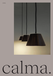**NORMAL** 



# calma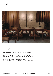## normal

DESIGN: ANDREU CARULLA



### *The Design:*

Normal lamps seek for the essential form by simplifying geometry and material. Its classic and basic aesthetic contrasts with the unusual and rustic but at the same time sophisticated material. A collection made entirely in the Empordà with glazed ceramics from La Bisbal.

The collection consists of 4 models: one wireless, two ceiling and a wall sconce that allows us to consistently illuminate multiple spaces. Indoor and covered outdoor use is recommended.

DESIGN: ANDREU CARULLA

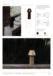





Ceramic structure lamp that incorporates LED 2,6w of 315 lumens, "one" touch ignition and USB recharge included. Suitable for outdoors.

| SIZF            |       | RFF. 720 |
|-----------------|-------|----------|
| <b>DIÁMETER</b> | 16 CM | 6"       |
| <b>HEIGHT</b>   | 32 CM | 12"      |
| N.W.            |       | $0.8$ KG |

| UN/BOX:          | 1/1         |
|------------------|-------------|
| <b>BOX SIZE:</b> | 23X23X40 CM |
| $V \cap I$ :     | $0.02$ M3   |
| G.W:             | 2.8 KG      |

MATERIALS/COLOURS Ceramic Structure









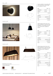

CEILING LAMP



CEILING LAMP



MATERIALS/COLOURS

Ceramic Structure



BR Brown 95 BG Beige 10









D

Ceramic wall light, incorporating LED 4,5w of 500 lumens, wired installation. Suitable for outdoor

|   | <b>SIZE</b>      |             | REF. 721 |
|---|------------------|-------------|----------|
|   | <b>DIÁMETER</b>  | 16 CM       | 6"       |
|   | <b>HEIGHT</b>    | 10 CM       | 4"       |
|   | N.W.             |             | $0.8$ KG |
|   | UN/BOX:          |             | 1/1      |
|   | <b>BOX SIZE:</b> | 23X23X15 CM |          |
|   | VOL:             |             | 0,008 M3 |
| D | G.W.:            |             | 1,00 KG  |

Ceiling hanging ceramic lamp, with direct suspension by cable and wired installation. It incorporates one LED 4,5w of 500 lumens. Suitable for outdoor

| SI7F            | REF. 722    |          |
|-----------------|-------------|----------|
| <b>DIÁMFTFR</b> | 16 CM       | 6"       |
| <b>HEIGHT</b>   | 10 CM       | 4"       |
| N.W.            |             | 0.8 KG   |
| UN/BOX:         |             | 1/1      |
| BOX SIZE:       | 23X23X15 CM |          |
| VOL:            |             | 0,008 M3 |
| G.W:            |             | 1.00 KG  |

Ceiling hanging ceramic lamp, with direct suspension by cable and wired installation. It incorporates one LED 8,4w of 960 lumens. Suitable for outdoor

| <b>SIZE</b>      | <b>REF. 723</b> |      |
|------------------|-----------------|------|
| <b>WIDTH</b>     | 16 CM           | 6"   |
| <b>DEPTH</b>     | 45,5 CM         | 18"  |
| <b>HEIGHT</b>    | 10 CM           | 4"   |
| N.W.             |                 | 3 KG |
| UN/BOX:          |                 | 1/1  |
| <b>BOX SIZE:</b> | 50X23X15 CM     |      |
| VOL:             | 0.017 M3        |      |
| G.W.:            | 3.2 KG          |      |

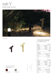# tub Y

#### DESIGN: ANDREU CARULLA



LIGHT BULB



Ceramic wall light, incorporating LED 4,5w of 500 lumens, wired installation. Suitable for outdoor

| <b>SIZE</b>      |             | <b>RFF 713</b>         |
|------------------|-------------|------------------------|
| <b>WIDTH</b>     | Ø 10 CM     | 24"                    |
| <b>DEPTH</b>     | 23 CM       | 36"                    |
| HEIGHT           | 58 CM       | 30"                    |
| N.W.             |             | 5,10 KG                |
| UN/BOX:          |             | 1/1                    |
| <b>BOX SIZE:</b> | 15X28X63 CM |                        |
| VOL:             | 0,026 M3    |                        |
| G.W:             | 5.50 KG     |                        |
|                  |             |                        |
| <b>SIZE</b>      |             |                        |
| <b>WIDTH</b>     | Ø 10 CM     | 24"                    |
| <b>DEPTH</b>     | 35 CM       | 36"                    |
| <b>HEIGHT</b>    | 65 CM       | <b>REF. 714</b><br>30" |
| N.W.             |             |                        |
| UN/BOX:          |             | 6,10 KG<br>1/1         |
| <b>BOX SIZE:</b> | 15X40X70 CM |                        |
| VOL:             | 0.042 M3    |                        |





D